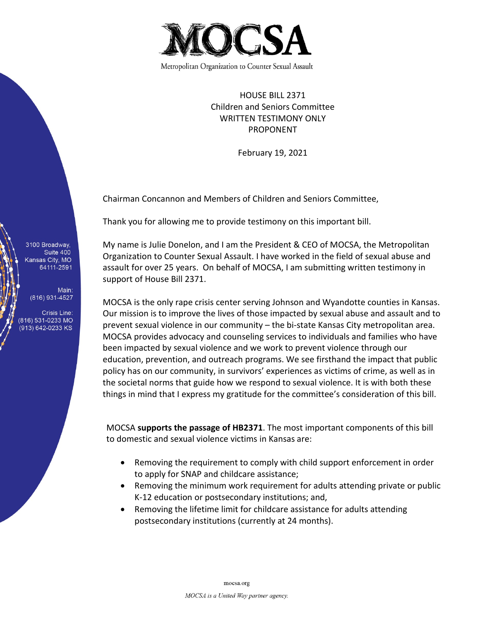

HOUSE BILL 2371 Children and Seniors Committee WRITTEN TESTIMONY ONLY PROPONENT

February 19, 2021

Chairman Concannon and Members of Children and Seniors Committee,

Thank you for allowing me to provide testimony on this important bill.

My name is Julie Donelon, and I am the President & CEO of MOCSA, the Metropolitan Organization to Counter Sexual Assault. I have worked in the field of sexual abuse and assault for over 25 years. On behalf of MOCSA, I am submitting written testimony in support of House Bill 2371.

MOCSA is the only rape crisis center serving Johnson and Wyandotte counties in Kansas. Our mission is to improve the lives of those impacted by sexual abuse and assault and to prevent sexual violence in our community – the bi-state Kansas City metropolitan area. MOCSA provides advocacy and counseling services to individuals and families who have been impacted by sexual violence and we work to prevent violence through our education, prevention, and outreach programs. We see firsthand the impact that public policy has on our community, in survivors' experiences as victims of crime, as well as in the societal norms that guide how we respond to sexual violence. It is with both these things in mind that I express my gratitude for the committee's consideration of this bill.

MOCSA **supports the passage of HB2371**. The most important components of this bill to domestic and sexual violence victims in Kansas are:

- Removing the requirement to comply with child support enforcement in order to apply for SNAP and childcare assistance;
- Removing the minimum work requirement for adults attending private or public K-12 education or postsecondary institutions; and,
- Removing the lifetime limit for childcare assistance for adults attending postsecondary institutions (currently at 24 months).

3100 Broadway, Suite 400 Kansas City, MO 64111-2591

Main: (816) 931-4527

**Crisis Line:** (816) 531-0233 MO (913) 642-0233 KS